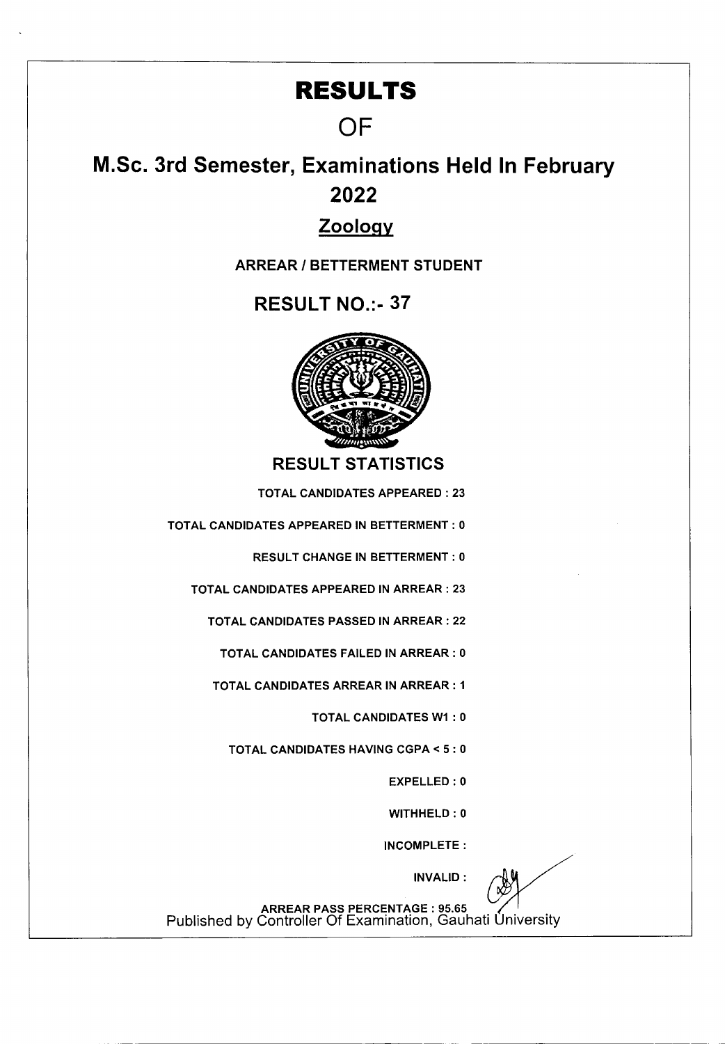## **RESULTS**

## **OF**

# M.Sc. 3rd Semester, Examinations Held In February 2022

### Zooloqy

**ARREAR I BETTERMENT STUDENT** 

**RESULT NO.:- 37** 



**RESULT STATISTICS** 

TOTAL CANDIDATES APPEARED : 23

TOTAL CANDIDATES APPEARED IN BETTERMENT: 0

RESULT CHANGE IN BETTERMENT: 0

TOTAL CANDIDATES APPEARED IN ARREAR: 23

TOTAL CANDIDATES PASSED IN ARREAR: 22

TOTAL CANDIDATES FAILED IN ARREAR: 0

TOTAL CANDIDATES ARREAR IN ARREAR: I

TOTAL CANDIDATES WI : 0

TOTAL CANDIDATES HAVING CGPA < 5: 0

EXPELLED : 0

WITHHELD: 0

INCOMPLETE:

INVALID:

ARREAR PASS PERCENTAGE : 95.65<br>Published by Controller Of Examination, Gauhati University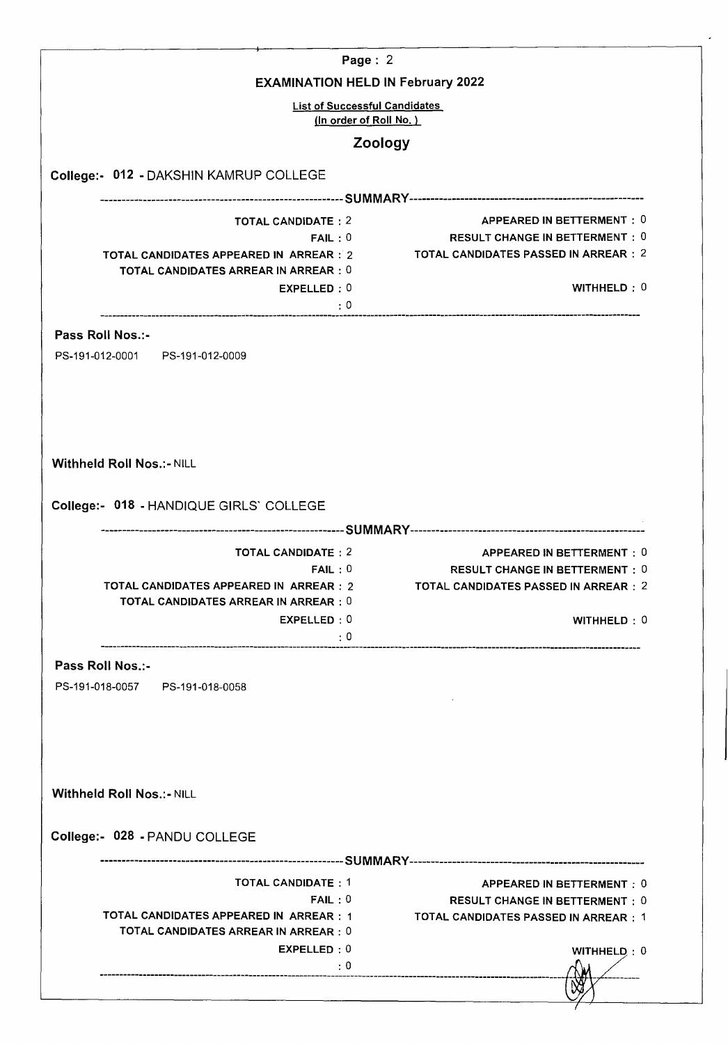|                                                                                         | Page: $2$                                                                                                                     |
|-----------------------------------------------------------------------------------------|-------------------------------------------------------------------------------------------------------------------------------|
| <b>EXAMINATION HELD IN February 2022</b>                                                |                                                                                                                               |
| <b>List of Successful Candidates</b><br>(In order of Roll No.)                          |                                                                                                                               |
| Zoology                                                                                 |                                                                                                                               |
| College:- 012 - DAKSHIN KAMRUP COLLEGE                                                  |                                                                                                                               |
|                                                                                         |                                                                                                                               |
| <b>TOTAL CANDIDATE: 2</b>                                                               | APPEARED IN BETTERMENT: 0                                                                                                     |
| FAIL:0<br>TOTAL CANDIDATES APPEARED IN ARREAR : 2                                       | <b>RESULT CHANGE IN BETTERMENT: 0</b><br>TOTAL CANDIDATES PASSED IN ARREAR : 2                                                |
| <b>TOTAL CANDIDATES ARREAR IN ARREAR : 0</b>                                            |                                                                                                                               |
| EXPELLED: 0                                                                             | WITHHELD: 0                                                                                                                   |
| $\mathbf{.0}$                                                                           |                                                                                                                               |
| Pass Roll Nos.:-                                                                        |                                                                                                                               |
| PS-191-012-0001 PS-191-012-0009                                                         |                                                                                                                               |
|                                                                                         |                                                                                                                               |
|                                                                                         |                                                                                                                               |
|                                                                                         |                                                                                                                               |
|                                                                                         |                                                                                                                               |
| <b>Withheld Roll Nos.:- NILL</b>                                                        |                                                                                                                               |
|                                                                                         |                                                                                                                               |
| College:- 018 - HANDIQUE GIRLS' COLLEGE                                                 |                                                                                                                               |
|                                                                                         |                                                                                                                               |
|                                                                                         |                                                                                                                               |
| <b>TOTAL CANDIDATE: 2</b>                                                               |                                                                                                                               |
| FAIL:0                                                                                  |                                                                                                                               |
| TOTAL CANDIDATES APPEARED IN ARREAR : 2<br><b>TOTAL CANDIDATES ARREAR IN ARREAR : 0</b> |                                                                                                                               |
| EXPELLED:0                                                                              | APPEARED IN BETTERMENT: 0<br><b>RESULT CHANGE IN BETTERMENT: 0</b><br>TOTAL CANDIDATES PASSED IN ARREAR : 2<br>WITHHELD $: 0$ |
| $\cdot$ 0                                                                               |                                                                                                                               |
| Pass Roll Nos.:-                                                                        |                                                                                                                               |
| PS-191-018-0057 PS-191-018-0058                                                         |                                                                                                                               |
|                                                                                         |                                                                                                                               |
|                                                                                         |                                                                                                                               |
|                                                                                         |                                                                                                                               |
|                                                                                         |                                                                                                                               |
| <b>Withheld Roll Nos.:- NILL</b>                                                        |                                                                                                                               |
|                                                                                         |                                                                                                                               |
| College:- 028 - PANDU COLLEGE                                                           |                                                                                                                               |
|                                                                                         |                                                                                                                               |
| <b>TOTAL CANDIDATE: 1</b>                                                               |                                                                                                                               |
| FAIL:0                                                                                  |                                                                                                                               |
| TOTAL CANDIDATES APPEARED IN ARREAR : 1                                                 |                                                                                                                               |
| TOTAL CANDIDATES ARREAR IN ARREAR : 0<br>EXPELLED: 0                                    | APPEARED IN BETTERMENT : 0<br><b>RESULT CHANGE IN BETTERMENT: 0</b><br>TOTAL CANDIDATES PASSED IN ARREAR : 1<br>WITHHELD: 0   |
| $\pm 0$                                                                                 |                                                                                                                               |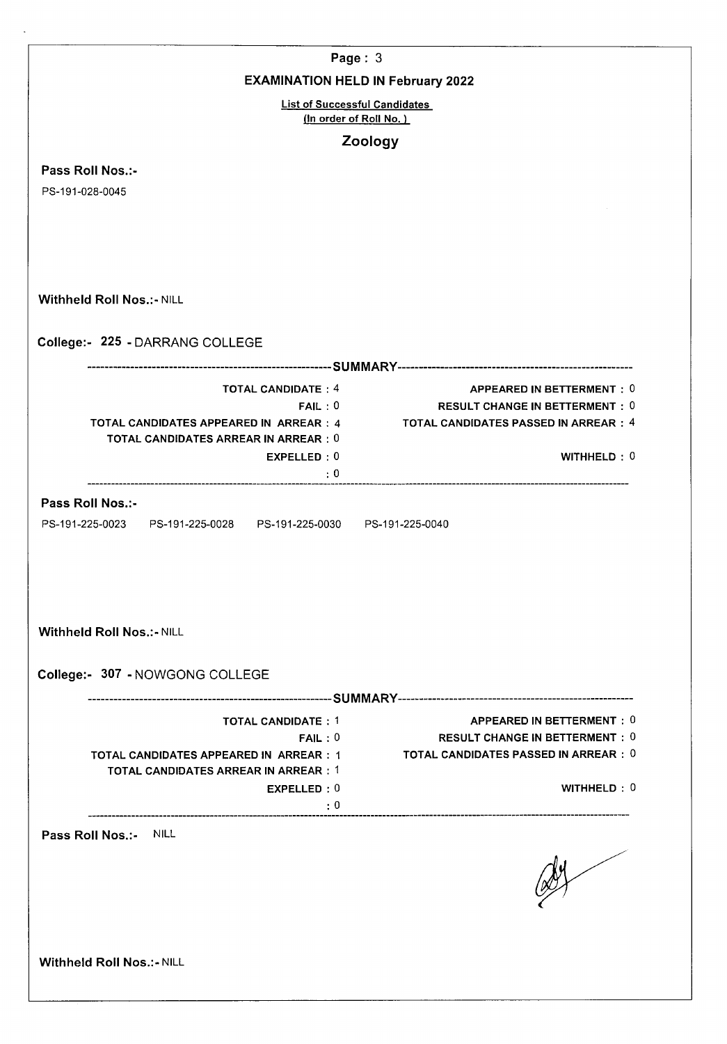| Page: $3$                                                                        |                                                                    |
|----------------------------------------------------------------------------------|--------------------------------------------------------------------|
| <b>EXAMINATION HELD IN February 2022</b>                                         |                                                                    |
| <b>List of Successful Candidates</b>                                             |                                                                    |
| (In order of Roll No.)                                                           |                                                                    |
|                                                                                  | Zoology                                                            |
| Pass Roll Nos.:-                                                                 |                                                                    |
| PS-191-028-0045                                                                  |                                                                    |
|                                                                                  |                                                                    |
|                                                                                  |                                                                    |
|                                                                                  |                                                                    |
| <b>Withheld Roll Nos.:- NILL</b>                                                 |                                                                    |
|                                                                                  |                                                                    |
| College:- 225 - DARRANG COLLEGE                                                  |                                                                    |
|                                                                                  |                                                                    |
| <b>TOTAL CANDIDATE: 4</b>                                                        | APPEARED IN BETTERMENT: 0                                          |
| FAIL:0                                                                           | <b>RESULT CHANGE IN BETTERMENT: 0</b>                              |
| TOTAL CANDIDATES APPEARED IN ARREAR : 4<br>TOTAL CANDIDATES ARREAR IN ARREAR : 0 | TOTAL CANDIDATES PASSED IN ARREAR : 4                              |
| EXPELLED: 0                                                                      | WITHHELD: 0                                                        |
| $\cdot$ 0                                                                        |                                                                    |
| Pass Roll Nos.:-                                                                 |                                                                    |
| PS-191-225-0023    PS-191-225-0028    PS-191-225-0030    PS-191-225-0040         |                                                                    |
| <b>Withheld Roll Nos.:- NILL</b>                                                 |                                                                    |
| College:- 307 - NOWGONG COLLEGE                                                  |                                                                    |
|                                                                                  |                                                                    |
| <b>TOTAL CANDIDATE: 1</b><br>FAIL:0                                              | APPEARED IN BETTERMENT: 0<br><b>RESULT CHANGE IN BETTERMENT: 0</b> |
| TOTAL CANDIDATES APPEARED IN ARREAR : 1                                          | TOTAL CANDIDATES PASSED IN ARREAR $:\ 0$                           |
| <b>TOTAL CANDIDATES ARREAR IN ARREAR: 1</b>                                      |                                                                    |
| EXPELLED: 0                                                                      | WITHHELD: 0                                                        |
|                                                                                  |                                                                    |
| Pass Roll Nos.:-<br>NILL                                                         |                                                                    |
|                                                                                  |                                                                    |
|                                                                                  |                                                                    |
| <b>Withheld Roll Nos.:- NILL</b>                                                 |                                                                    |
|                                                                                  |                                                                    |
|                                                                                  |                                                                    |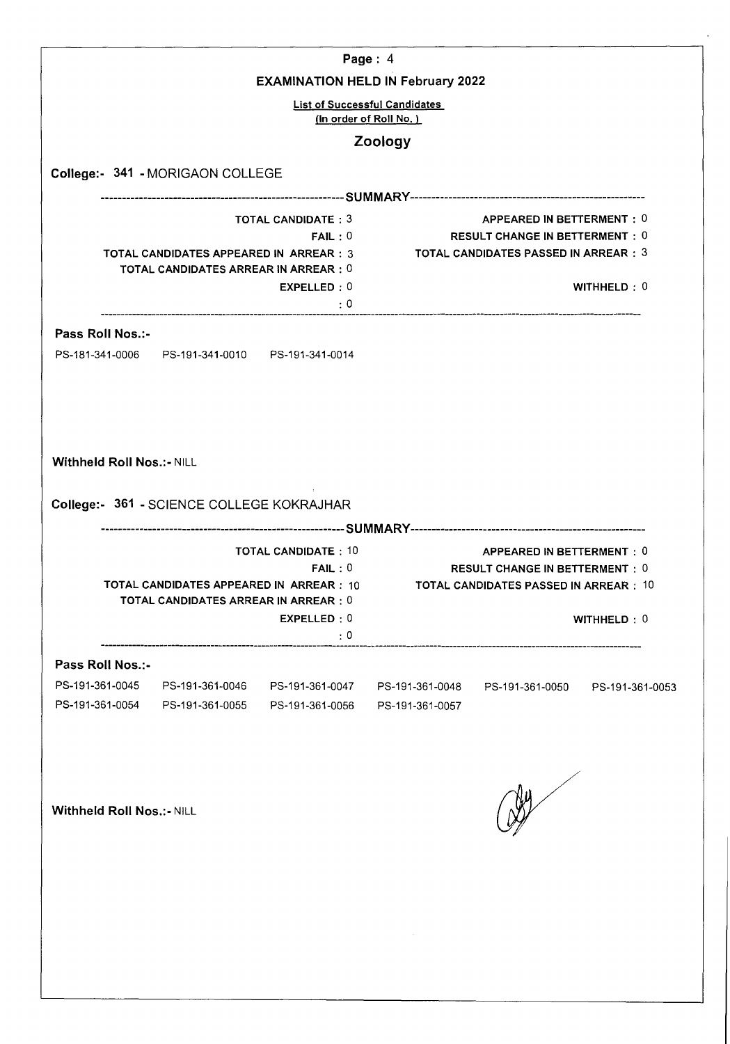|                                                                                                                           |                                                                                                                |                                    | Page: $4$<br><b>EXAMINATION HELD IN February 2022</b>                                                               |                 |                                                                                                                                   |  |
|---------------------------------------------------------------------------------------------------------------------------|----------------------------------------------------------------------------------------------------------------|------------------------------------|---------------------------------------------------------------------------------------------------------------------|-----------------|-----------------------------------------------------------------------------------------------------------------------------------|--|
|                                                                                                                           |                                                                                                                |                                    | <b>List of Successful Candidates</b><br>(In order of Roll No.)                                                      |                 |                                                                                                                                   |  |
|                                                                                                                           |                                                                                                                |                                    | Zoology                                                                                                             |                 |                                                                                                                                   |  |
|                                                                                                                           | College:- 341 - MORIGAON COLLEGE                                                                               |                                    |                                                                                                                     |                 |                                                                                                                                   |  |
|                                                                                                                           |                                                                                                                |                                    |                                                                                                                     |                 |                                                                                                                                   |  |
|                                                                                                                           | <b>TOTAL CANDIDATE: 3</b><br>FAIL:0<br><b>TOTAL CANDIDATES ARREAR IN ARREAR: 0</b><br>EXPELLED: 0<br>$\cdot:0$ |                                    | TOTAL CANDIDATES APPEARED IN ARREAR : 3                                                                             |                 | APPEARED IN BETTERMENT: 0<br><b>RESULT CHANGE IN BETTERMENT: 0</b><br><b>TOTAL CANDIDATES PASSED IN ARREAR : 3</b><br>WITHHELD: 0 |  |
| Pass Roll Nos.:-                                                                                                          |                                                                                                                |                                    |                                                                                                                     |                 |                                                                                                                                   |  |
|                                                                                                                           |                                                                                                                |                                    |                                                                                                                     |                 |                                                                                                                                   |  |
| <b>Withheld Roll Nos.:- NILL</b>                                                                                          |                                                                                                                |                                    |                                                                                                                     |                 |                                                                                                                                   |  |
|                                                                                                                           | College:- 361 - SCIENCE COLLEGE KOKRAJHAR                                                                      |                                    |                                                                                                                     |                 |                                                                                                                                   |  |
| <b>TOTAL CANDIDATE: 10</b><br>FAIL:0<br>TOTAL CANDIDATES APPEARED IN ARREAR : 10<br>TOTAL CANDIDATES ARREAR IN ARREAR : 0 |                                                                                                                |                                    | APPEARED IN BETTERMENT: 0<br><b>RESULT CHANGE IN BETTERMENT: 0</b><br><b>TOTAL CANDIDATES PASSED IN ARREAR : 10</b> |                 |                                                                                                                                   |  |
|                                                                                                                           |                                                                                                                | EXPELLED: 0<br>$\mathbf{.}0$       |                                                                                                                     |                 | WITHHELD: 0                                                                                                                       |  |
| Pass Roll Nos.:-                                                                                                          |                                                                                                                |                                    |                                                                                                                     |                 |                                                                                                                                   |  |
| PS-191-361-0045<br>PS-191-361-0054                                                                                        | PS-191-361-0046<br>PS-191-361-0055                                                                             | PS-191-361-0047<br>PS-191-361-0056 | PS-191-361-0048<br>PS-191-361-0057                                                                                  | PS-191-361-0050 | PS-191-361-0053                                                                                                                   |  |
| <b>Withheld Roll Nos.: - NILL</b>                                                                                         |                                                                                                                |                                    |                                                                                                                     |                 |                                                                                                                                   |  |
|                                                                                                                           |                                                                                                                |                                    |                                                                                                                     |                 |                                                                                                                                   |  |